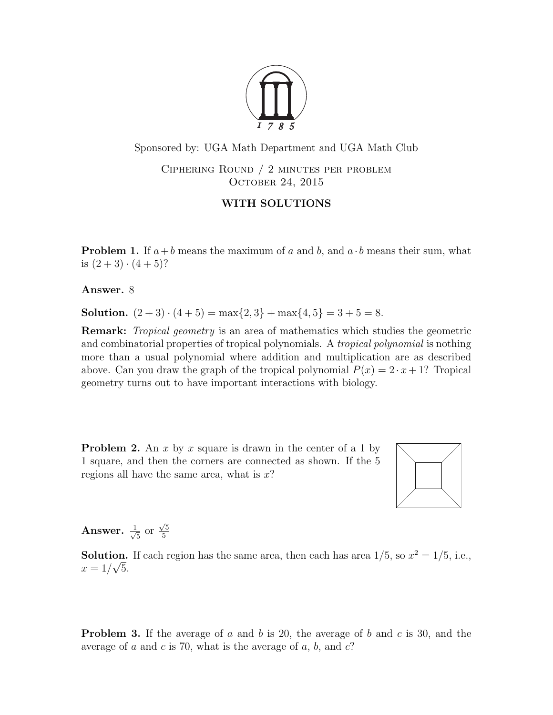

Sponsored by: UGA Math Department and UGA Math Club

Ciphering Round / 2 minutes per problem OCTOBER 24, 2015

## WITH SOLUTIONS

**Problem 1.** If  $a+b$  means the maximum of a and b, and  $a \cdot b$  means their sum, what is  $(2+3) \cdot (4+5)$ ?

Answer. 8

Solution.  $(2+3) \cdot (4+5) = \max\{2,3\} + \max\{4,5\} = 3+5=8.$ 

**Remark:** Tropical geometry is an area of mathematics which studies the geometric and combinatorial properties of tropical polynomials. A *tropical polynomial* is nothing more than a usual polynomial where addition and multiplication are as described above. Can you draw the graph of the tropical polynomial  $P(x) = 2 \cdot x + 1$ ? Tropical geometry turns out to have important interactions with biology.

**Problem 2.** An x by x square is drawn in the center of a 1 by 1 square, and then the corners are connected as shown. If the 5 regions all have the same area, what is  $x$ ?



Answer.  $\frac{1}{\sqrt{2}}$  $\frac{1}{5}$  or  $\sqrt{5}$ 5

**Solution.** If each region has the same area, then each has area  $1/5$ , so  $x^2 = 1/5$ , i.e.,  $x = 1/\sqrt{5}$ .

**Problem 3.** If the average of a and b is 20, the average of b and c is 30, and the average of a and c is 70, what is the average of a, b, and  $c$ ?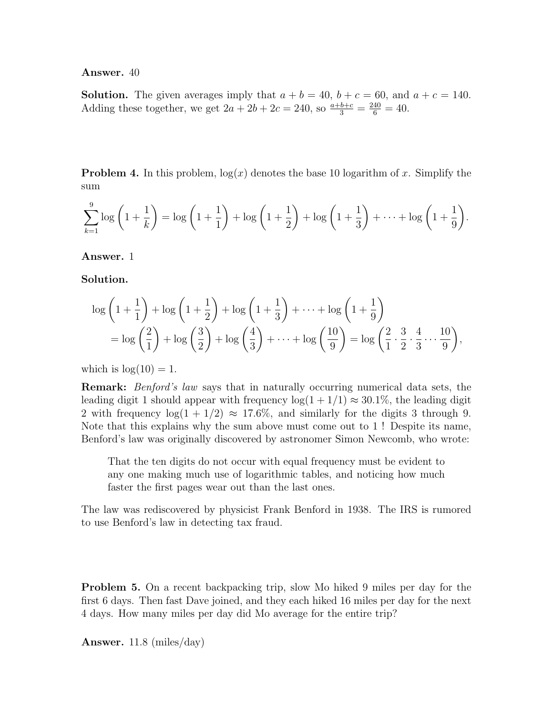Answer. 40

**Solution.** The given averages imply that  $a + b = 40$ ,  $b + c = 60$ , and  $a + c = 140$ . Adding these together, we get  $2a + 2b + 2c = 240$ , so  $\frac{a+b+c}{3} = \frac{240}{6} = 40$ .

**Problem 4.** In this problem,  $log(x)$  denotes the base 10 logarithm of x. Simplify the sum

$$
\sum_{k=1}^{9} \log \left( 1 + \frac{1}{k} \right) = \log \left( 1 + \frac{1}{1} \right) + \log \left( 1 + \frac{1}{2} \right) + \log \left( 1 + \frac{1}{3} \right) + \dots + \log \left( 1 + \frac{1}{9} \right).
$$

Answer. 1

Solution.

$$
\log\left(1+\frac{1}{1}\right) + \log\left(1+\frac{1}{2}\right) + \log\left(1+\frac{1}{3}\right) + \dots + \log\left(1+\frac{1}{9}\right)
$$
  
= 
$$
\log\left(\frac{2}{1}\right) + \log\left(\frac{3}{2}\right) + \log\left(\frac{4}{3}\right) + \dots + \log\left(\frac{10}{9}\right) = \log\left(\frac{2}{1}\cdot\frac{3}{2}\cdot\frac{4}{3}\dots\frac{10}{9}\right),
$$

which is  $log(10) = 1$ .

Remark: Benford's law says that in naturally occurring numerical data sets, the leading digit 1 should appear with frequency  $log(1 + 1/1) \approx 30.1\%$ , the leading digit 2 with frequency  $log(1 + 1/2) \approx 17.6\%$ , and similarly for the digits 3 through 9. Note that this explains why the sum above must come out to 1 ! Despite its name, Benford's law was originally discovered by astronomer Simon Newcomb, who wrote:

That the ten digits do not occur with equal frequency must be evident to any one making much use of logarithmic tables, and noticing how much faster the first pages wear out than the last ones.

The law was rediscovered by physicist Frank Benford in 1938. The IRS is rumored to use Benford's law in detecting tax fraud.

Problem 5. On a recent backpacking trip, slow Mo hiked 9 miles per day for the first 6 days. Then fast Dave joined, and they each hiked 16 miles per day for the next 4 days. How many miles per day did Mo average for the entire trip?

**Answer.** 11.8 (miles/day)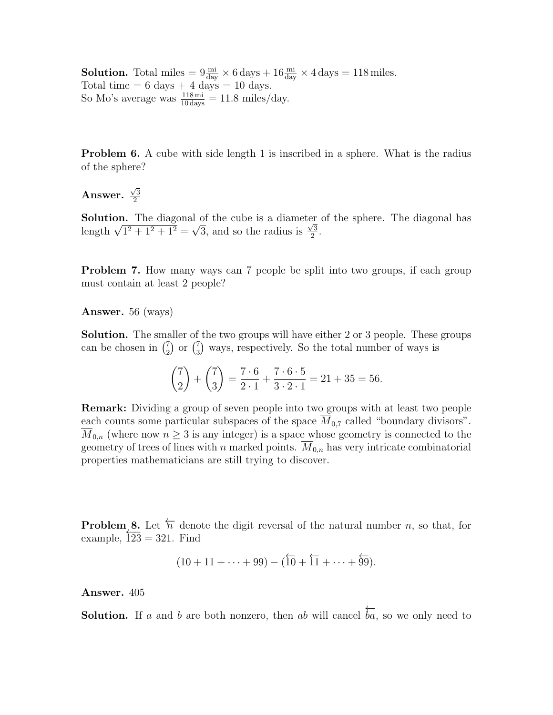**Solution.** Total miles  $= 9 \frac{\text{mi}}{\text{day}} \times 6 \text{ days} + 16 \frac{\text{mi}}{\text{day}} \times 4 \text{ days} = 118 \text{ miles.}$ Total time  $= 6$  days  $+ 4$  days  $= 10$  days. So Mo's average was  $\frac{118 \text{ mi}}{10 \text{ days}} = 11.8 \text{ miles/day.}$ 

**Problem 6.** A cube with side length 1 is inscribed in a sphere. What is the radius of the sphere?

Answer.  $\sqrt{3}$ 2

**Solution.** The diagonal of the cube is a diameter of the sphere. The diagonal has **Solution.** The diagonal of the cube is a diameter<br>length  $\sqrt{1^2 + 1^2 + 1^2} = \sqrt{3}$ , and so the radius is  $\frac{\sqrt{3}}{2}$  $\frac{73}{2}$ .

Problem 7. How many ways can 7 people be split into two groups, if each group must contain at least 2 people?

Answer. 56 (ways)

Solution. The smaller of the two groups will have either 2 or 3 people. These groups can be chosen in  $\binom{7}{2}$  $\binom{7}{2}$  or  $\binom{7}{3}$  $_{3}^{7}$ ) ways, respectively. So the total number of ways is

$$
\binom{7}{2} + \binom{7}{3} = \frac{7 \cdot 6}{2 \cdot 1} + \frac{7 \cdot 6 \cdot 5}{3 \cdot 2 \cdot 1} = 21 + 35 = 56.
$$

Remark: Dividing a group of seven people into two groups with at least two people each counts some particular subspaces of the space  $\overline{M}_{0.7}$  called "boundary divisors".  $\overline{M}_{0,n}$  (where now  $n \geq 3$  is any integer) is a space whose geometry is connected to the geometry of trees of lines with n marked points.  $\overline{M}_{0,n}$  has very intricate combinatorial properties mathematicians are still trying to discover.

**Problem 8.** Let  $\overleftarrow{n}$  denote the digit reversal of the natural number n, so that, for example,  $\overline{123} = 321$ . Find

$$
(10+11+\cdots+99)-(\overleftarrow{10}+\overleftarrow{11}+\cdots+\overleftarrow{99}).
$$

Answer. 405

**Solution.** If a and b are both nonzero, then ab will cancel ←−  $ba$ , so we only need to